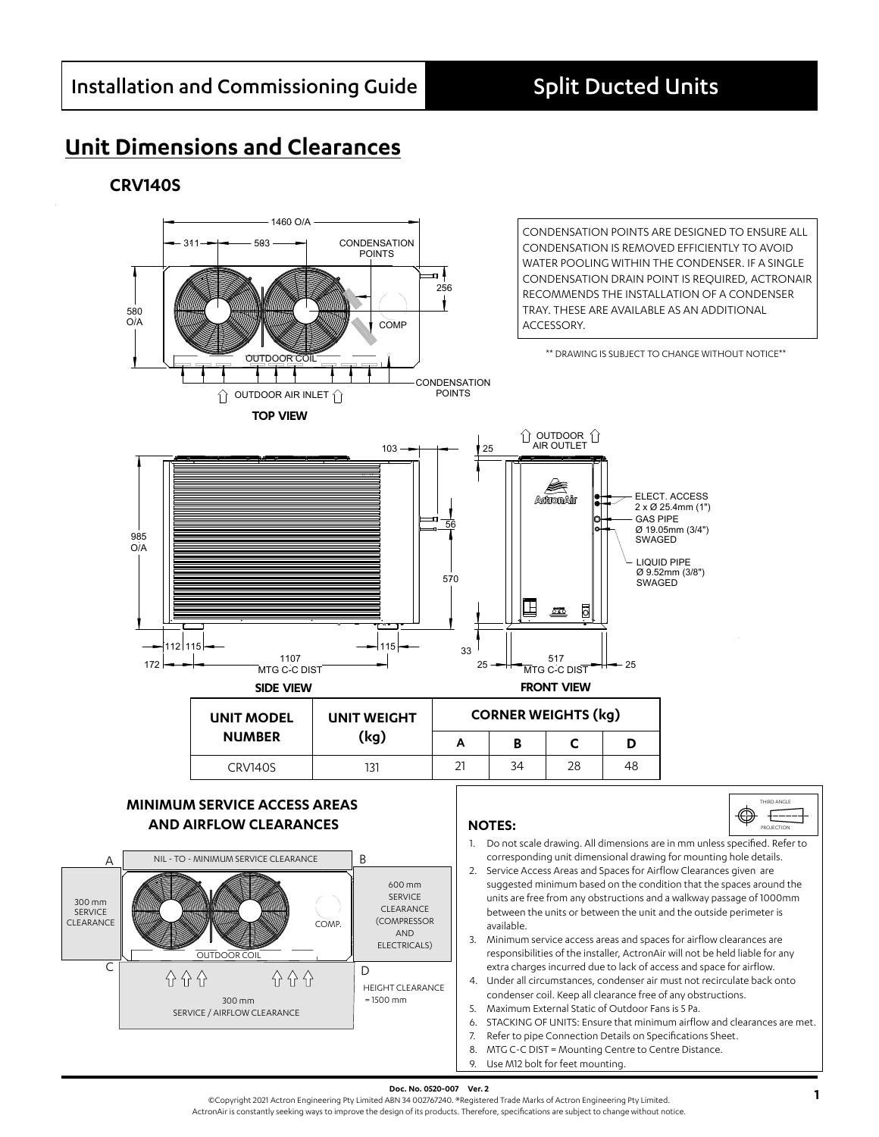# **Unit Dimensions and Clearances**

### **CRV140S**



**Doc. No. 0520-007 Ver. 2**<br>©Copyright 2021 Actron Engineering Pty Limited ABN 34 002767240. ®Registered Trade Marks of Actron Engineering Pty Limited. ActronAir is constantly seeking ways to improve the design of its products. Therefore, specifications are subject to change without notice.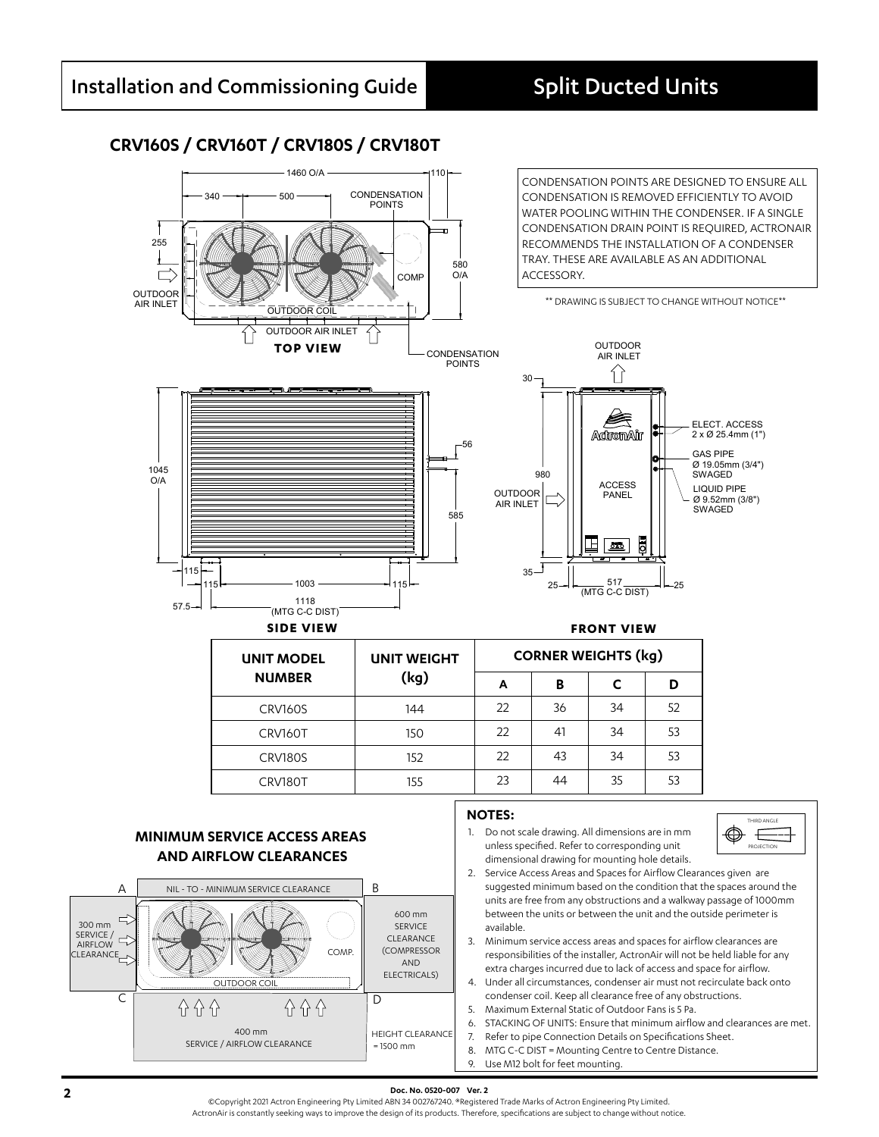## **CRV160S / CRV160T / CRV180S / CRV180T**



### **MINIMUM SERVICE ACCESS AREAS AND AIRFLOW CLEARANCES**



1. Do not scale drawing. All dimensions are in mm unless specified. Refer to corresponding unit dimensional drawing for mounting hole details.



- 2. Service Access Areas and Spaces for Airflow Clearances given are suggested minimum based on the condition that the spaces around the units are free from any obstructions and a walkway passage of 1000mm between the units or between the unit and the outside perimeter is available.
- 3. Minimum service access areas and spaces for airflow clearances are responsibilities of the installer, ActronAir will not be held liable for any extra charges incurred due to lack of access and space for airflow.
- 4. Under all circumstances, condenser air must not recirculate back onto condenser coil. Keep all clearance free of any obstructions.
- 5. Maximum External Static of Outdoor Fans is 5 Pa.
- 6. STACKING OF UNITS: Ensure that minimum airflow and clearances are met.
- 7. Refer to pipe Connection Details on Specifications Sheet.
- 8. MTG C-C DIST = Mounting Centre to Centre Distance.
- 9. Use M12 bolt for feet mounting.

**2 2 Doc. No. 0520-007 Ver. 2**<br>©Copyright 2021 Actron Engineering Pty Limited ABN 34 002767240. ®Registered Trade Marks of Actron Engineering Pty Limited. ActronAir is constantly seeking ways to improve the design of its products. Therefore, specifications are subject to change without notice.